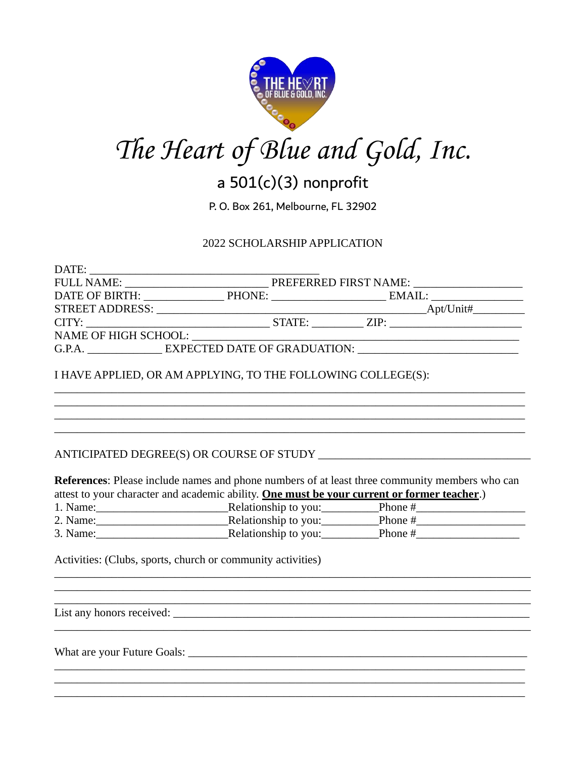



# a  $501(c)(3)$  nonprofit

P. O. Box 261, Melbourne, FL 32902

## 2022 SCHOLARSHIP APPLICATION

| DAIE:                                      |                                           |           |  |
|--------------------------------------------|-------------------------------------------|-----------|--|
|                                            | PREFERRED FIRST NAME: ___________________ |           |  |
|                                            | DATE OF BIRTH: PHONE: PHONE: EMAIL:       |           |  |
|                                            |                                           | Apt/Unit# |  |
|                                            |                                           |           |  |
|                                            |                                           |           |  |
| G.P.A. <b>EXPECTED DATE OF GRADUATION:</b> |                                           |           |  |
|                                            |                                           |           |  |

I HAVE APPLIED, OR AM APPLYING, TO THE FOLLOWING COLLEGE(S):

## 

References: Please include names and phone numbers of at least three community members who can attest to your character and academic ability. One must be your current or former teacher.)

| 1. Name: | Relationship to you: | Phone # |
|----------|----------------------|---------|
| 2. Name: | Relationship to you: | Phone # |
| 3. Name: | Relationship to you: | Phone # |

<u> 1989 - Johann Barbara, margaret eta idazlea (h. 1989).</u>

Activities: (Clubs, sports, church or community activities)

 $DATE$ 

What are your Future Goals: